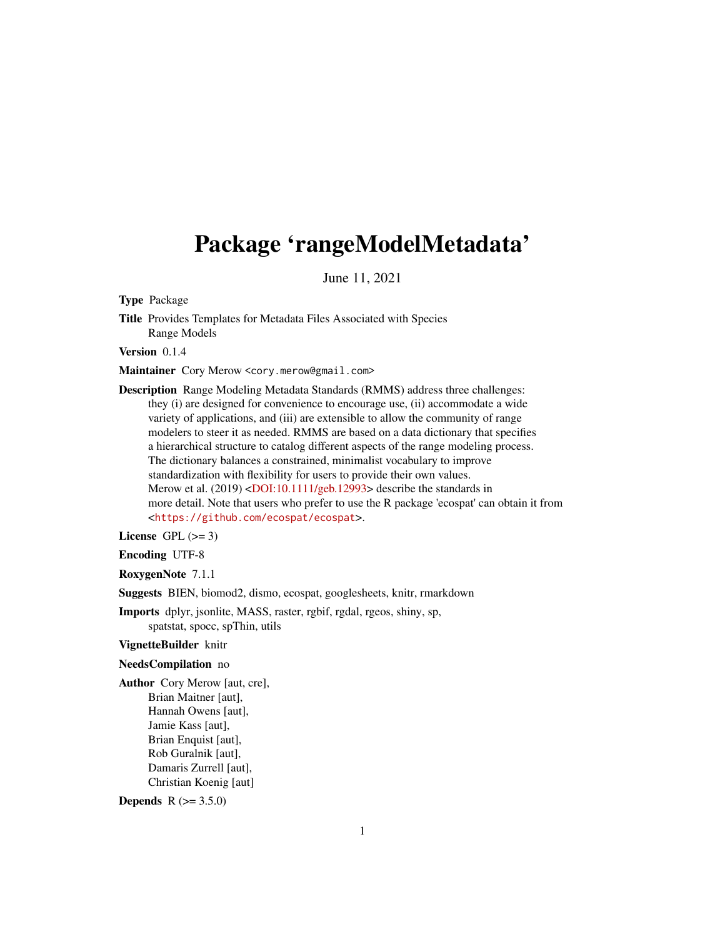# <span id="page-0-0"></span>Package 'rangeModelMetadata'

June 11, 2021

Type Package

Title Provides Templates for Metadata Files Associated with Species Range Models

Version 0.1.4

Maintainer Cory Merow <cory.merow@gmail.com>

Description Range Modeling Metadata Standards (RMMS) address three challenges: they (i) are designed for convenience to encourage use, (ii) accommodate a wide variety of applications, and (iii) are extensible to allow the community of range modelers to steer it as needed. RMMS are based on a data dictionary that specifies a hierarchical structure to catalog different aspects of the range modeling process. The dictionary balances a constrained, minimalist vocabulary to improve standardization with flexibility for users to provide their own values. Merow et al. (2019) [<DOI:10.1111/geb.12993>](https://doi.org/10.1111/geb.12993) describe the standards in more detail. Note that users who prefer to use the R package 'ecospat' can obtain it from <<https://github.com/ecospat/ecospat>>.

License GPL  $(>= 3)$ 

Encoding UTF-8

RoxygenNote 7.1.1

Suggests BIEN, biomod2, dismo, ecospat, googlesheets, knitr, rmarkdown

Imports dplyr, jsonlite, MASS, raster, rgbif, rgdal, rgeos, shiny, sp, spatstat, spocc, spThin, utils

VignetteBuilder knitr

#### NeedsCompilation no

Author Cory Merow [aut, cre], Brian Maitner [aut], Hannah Owens [aut], Jamie Kass [aut], Brian Enquist [aut], Rob Guralnik [aut], Damaris Zurrell [aut], Christian Koenig [aut]

**Depends** R  $(>= 3.5.0)$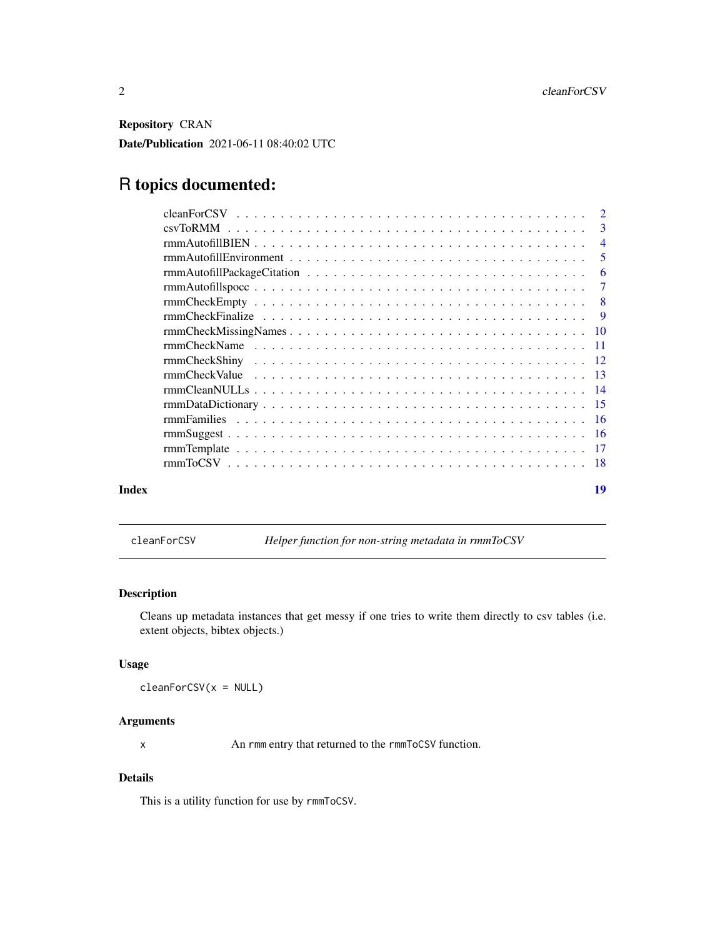<span id="page-1-0"></span>Repository CRAN

Date/Publication 2021-06-11 08:40:02 UTC

## R topics documented:

|       | $\overline{\phantom{a}}$  |
|-------|---------------------------|
|       | $\overline{4}$            |
|       | - 5                       |
|       | -6                        |
|       |                           |
|       | $\overline{\phantom{0}}8$ |
|       | $\overline{9}$            |
|       |                           |
|       |                           |
|       |                           |
|       |                           |
|       |                           |
|       |                           |
|       |                           |
|       |                           |
|       |                           |
|       |                           |
| Index | 19                        |

<span id="page-1-1"></span>cleanForCSV *Helper function for non-string metadata in rmmToCSV*

#### Description

Cleans up metadata instances that get messy if one tries to write them directly to csv tables (i.e. extent objects, bibtex objects.)

#### Usage

cleanForCSV(x = NULL)

#### Arguments

x An rmm entry that returned to the rmmToCSV function.

#### Details

This is a utility function for use by rmmToCSV.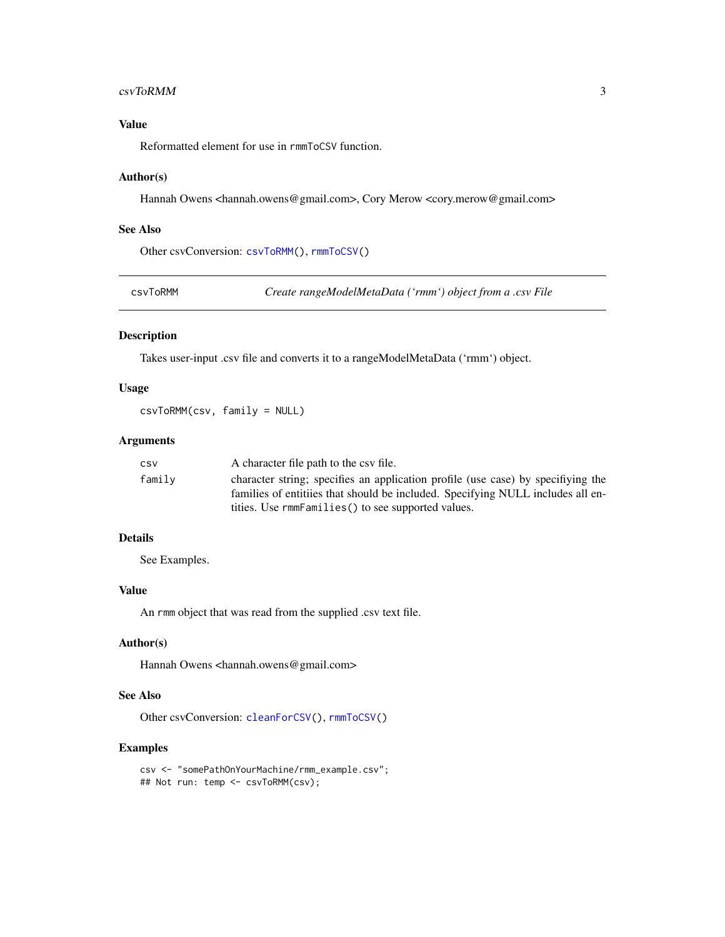#### <span id="page-2-0"></span>csvToRMM 3

#### Value

Reformatted element for use in rmmToCSV function.

#### Author(s)

Hannah Owens <hannah.owens@gmail.com>, Cory Merow <cory.merow@gmail.com>

#### See Also

Other csvConversion: [csvToRMM\(](#page-2-1)), [rmmToCSV\(](#page-17-1))

<span id="page-2-1"></span>csvToRMM *Create rangeModelMetaData ('rmm') object from a .csv File*

#### Description

Takes user-input .csv file and converts it to a rangeModelMetaData ('rmm') object.

#### Usage

```
csvToRMM(csv, family = NULL)
```
#### Arguments

| CSV    | A character file path to the csy file.                                                                                                                              |
|--------|---------------------------------------------------------------------------------------------------------------------------------------------------------------------|
| family | character string; specifies an application profile (use case) by specifiying the<br>families of entitiies that should be included. Specifying NULL includes all en- |
|        | tities. Use rmmFamilies () to see supported values.                                                                                                                 |

#### Details

See Examples.

#### Value

An rmm object that was read from the supplied .csv text file.

#### Author(s)

Hannah Owens <hannah.owens@gmail.com>

#### See Also

Other csvConversion: [cleanForCSV\(](#page-1-1)), [rmmToCSV\(](#page-17-1))

```
csv <- "somePathOnYourMachine/rmm_example.csv";
## Not run: temp <- csvToRMM(csv);
```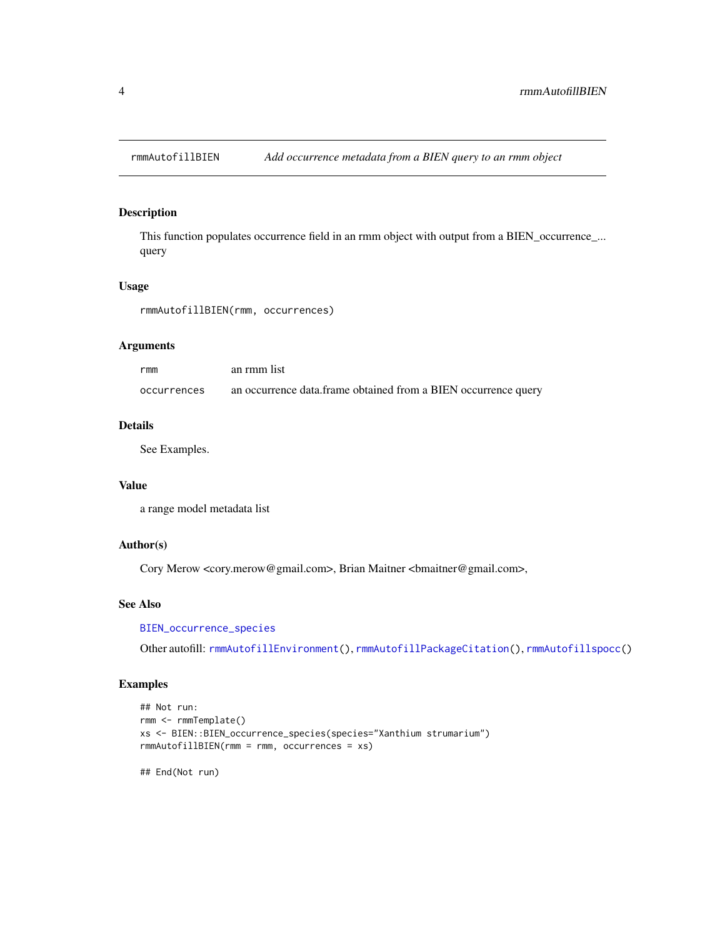<span id="page-3-1"></span><span id="page-3-0"></span>

This function populates occurrence field in an rmm object with output from a BIEN\_occurrence\_... query

#### Usage

rmmAutofillBIEN(rmm, occurrences)

#### Arguments

| rmm         | an rmm list                                                    |
|-------------|----------------------------------------------------------------|
| occurrences | an occurrence data.frame obtained from a BIEN occurrence query |

#### Details

See Examples.

#### Value

a range model metadata list

#### Author(s)

Cory Merow <cory.merow@gmail.com>, Brian Maitner <br/> <br/>bmaitner@gmail.com>,

#### See Also

[BIEN\\_occurrence\\_species](#page-0-0)

Other autofill: [rmmAutofillEnvironment\(](#page-4-1)), [rmmAutofillPackageCitation\(](#page-5-1)), [rmmAutofillspocc\(](#page-6-1))

#### Examples

```
## Not run:
rmm <- rmmTemplate()
xs <- BIEN::BIEN_occurrence_species(species="Xanthium strumarium")
rmmAutofillBIEN(rmm = rmm, occurrences = xs)
```
## End(Not run)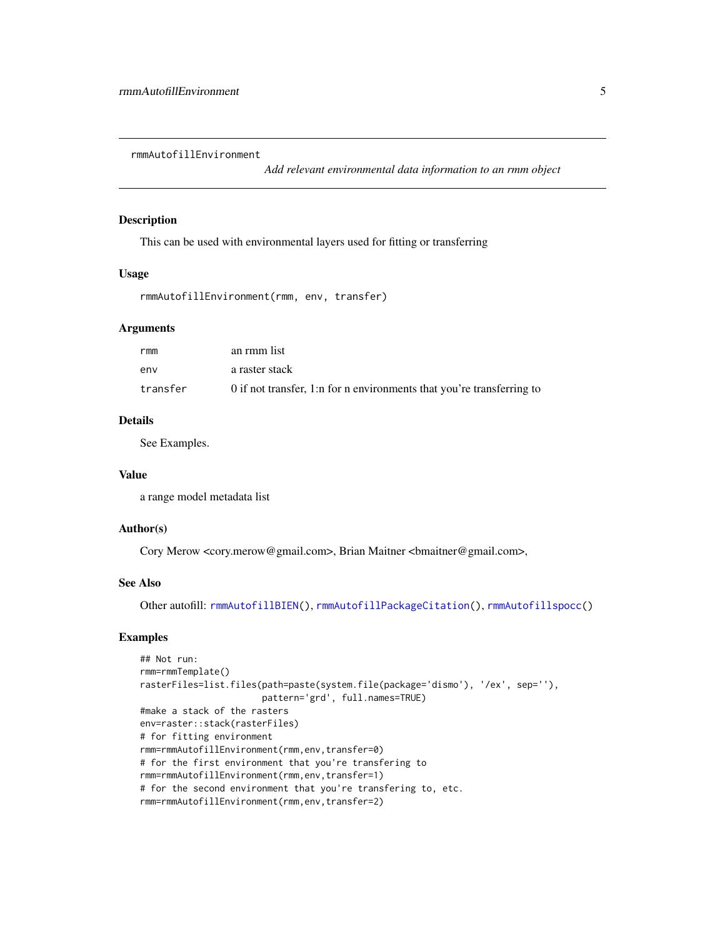<span id="page-4-1"></span><span id="page-4-0"></span>rmmAutofillEnvironment

*Add relevant environmental data information to an rmm object*

#### Description

This can be used with environmental layers used for fitting or transferring

#### Usage

```
rmmAutofillEnvironment(rmm, env, transfer)
```
#### Arguments

| rmm      | an rmm list                                                           |
|----------|-----------------------------------------------------------------------|
| env      | a raster stack                                                        |
| transfer | 0 if not transfer, 1:n for n environments that you're transferring to |

#### Details

See Examples.

#### Value

a range model metadata list

#### Author(s)

Cory Merow <cory.merow@gmail.com>, Brian Maitner <bmaitner@gmail.com>,

#### See Also

Other autofill: [rmmAutofillBIEN\(](#page-3-1)), [rmmAutofillPackageCitation\(](#page-5-1)), [rmmAutofillspocc\(](#page-6-1))

```
## Not run:
rmm=rmmTemplate()
rasterFiles=list.files(path=paste(system.file(package='dismo'), '/ex', sep=''),
                       pattern='grd', full.names=TRUE)
#make a stack of the rasters
env=raster::stack(rasterFiles)
# for fitting environment
rmm=rmmAutofillEnvironment(rmm,env,transfer=0)
# for the first environment that you're transfering to
rmm=rmmAutofillEnvironment(rmm,env,transfer=1)
# for the second environment that you're transfering to, etc.
rmm=rmmAutofillEnvironment(rmm,env,transfer=2)
```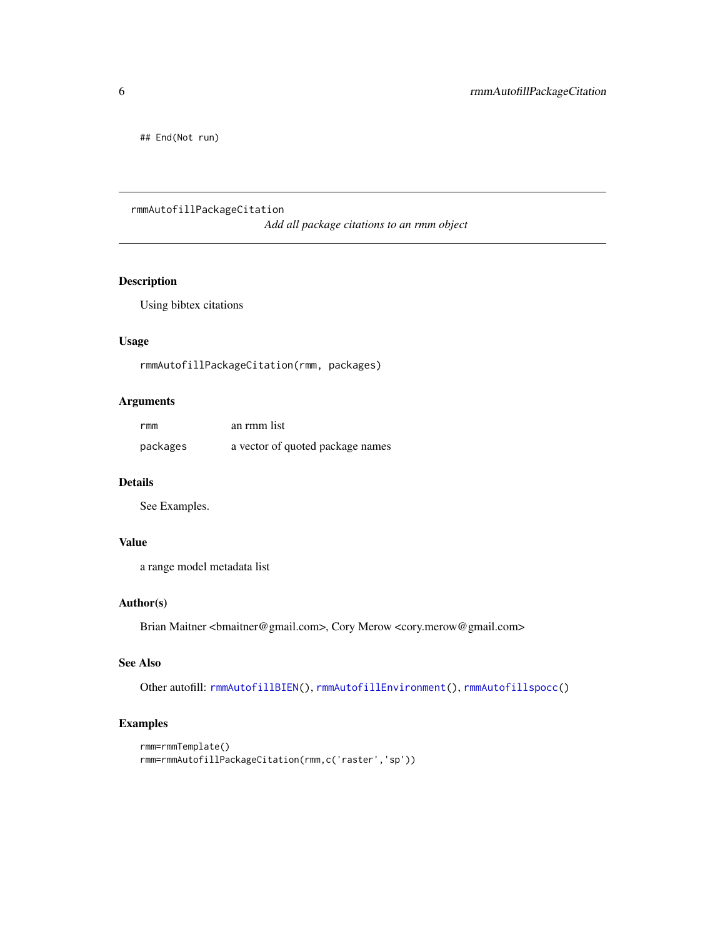<span id="page-5-0"></span>## End(Not run)

### <span id="page-5-1"></span>rmmAutofillPackageCitation

*Add all package citations to an rmm object*

### Description

Using bibtex citations

#### Usage

rmmAutofillPackageCitation(rmm, packages)

#### Arguments

| rmm      | an rmm list                      |
|----------|----------------------------------|
| packages | a vector of quoted package names |

#### Details

See Examples.

#### Value

a range model metadata list

#### Author(s)

Brian Maitner <br/>  $<$ hmaitner@gmail.com>, Cory Merow <<<<<<<r/>  $<$ <br/>cory.merow@gmail.com>

#### See Also

Other autofill: [rmmAutofillBIEN\(](#page-3-1)), [rmmAutofillEnvironment\(](#page-4-1)), [rmmAutofillspocc\(](#page-6-1))

```
rmm=rmmTemplate()
rmm=rmmAutofillPackageCitation(rmm,c('raster','sp'))
```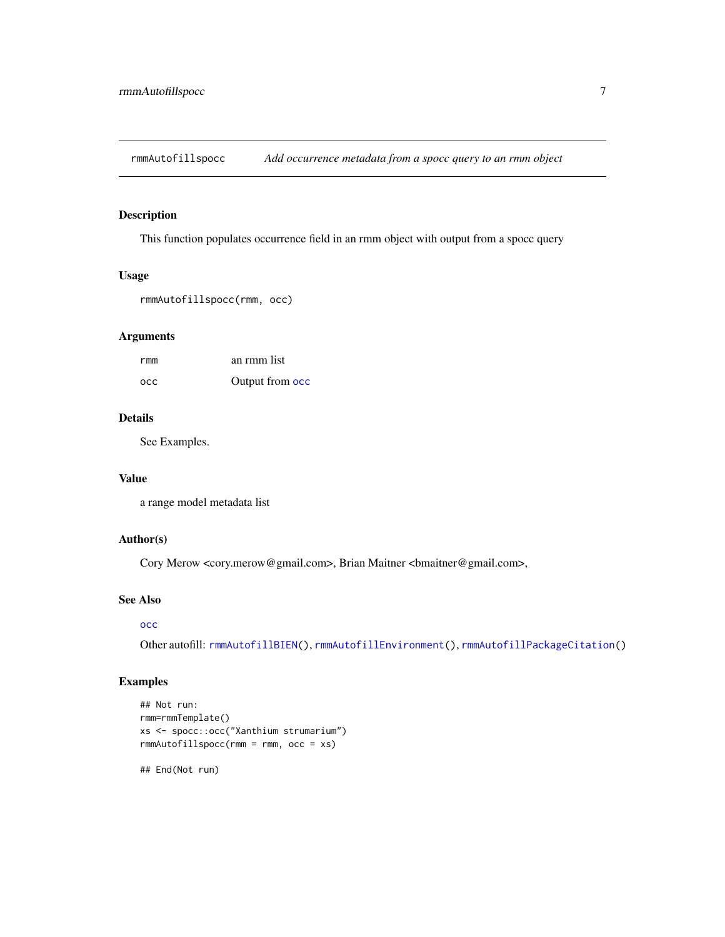<span id="page-6-1"></span><span id="page-6-0"></span>rmmAutofillspocc *Add occurrence metadata from a spocc query to an rmm object*

#### Description

This function populates occurrence field in an rmm object with output from a spocc query

#### Usage

```
rmmAutofillspocc(rmm, occ)
```
#### Arguments

| rmm        | an rmm list     |
|------------|-----------------|
| <b>OCC</b> | Output from occ |

#### Details

See Examples.

#### Value

a range model metadata list

#### Author(s)

Cory Merow <cory.merow@gmail.com>, Brian Maitner <br/> <br/>bmaitner@gmail.com>,

#### See Also

#### [occ](#page-0-0)

Other autofill: [rmmAutofillBIEN\(](#page-3-1)), [rmmAutofillEnvironment\(](#page-4-1)), [rmmAutofillPackageCitation\(](#page-5-1))

#### Examples

```
## Not run:
rmm=rmmTemplate()
xs <- spocc::occ("Xanthium strumarium")
rmmAutofillspocc(rmm = rmm, occ = xs)
```
## End(Not run)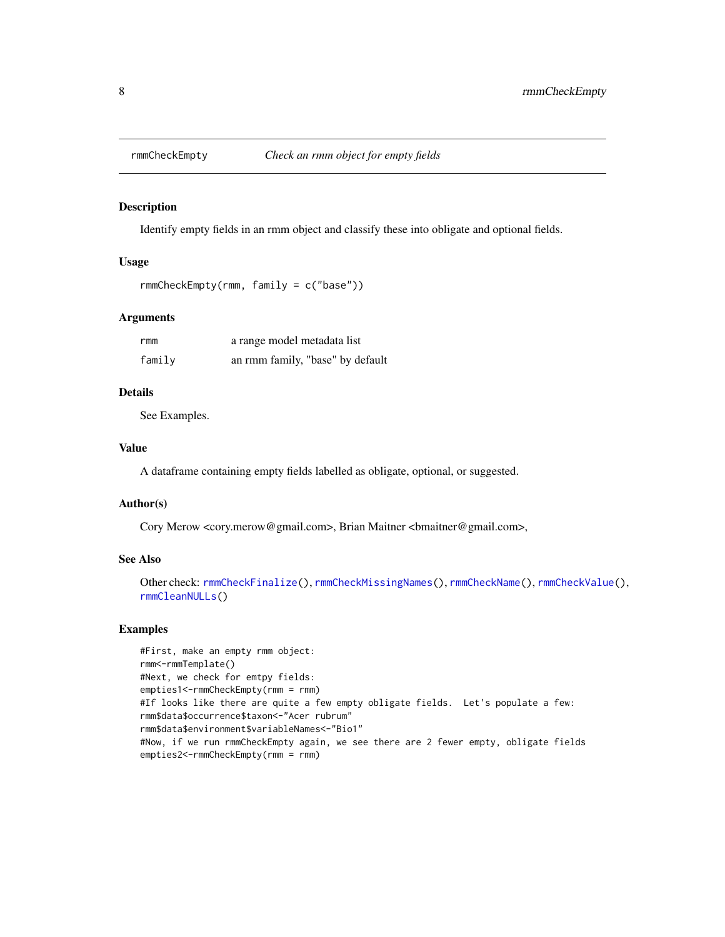<span id="page-7-1"></span><span id="page-7-0"></span>

Identify empty fields in an rmm object and classify these into obligate and optional fields.

#### Usage

```
rmmCheckEmpty(rmm, family = c("base"))
```
#### **Arguments**

| rmm    | a range model metadata list      |
|--------|----------------------------------|
| family | an rmm family, "base" by default |

#### Details

See Examples.

#### Value

A dataframe containing empty fields labelled as obligate, optional, or suggested.

#### Author(s)

Cory Merow <cory.merow@gmail.com>, Brian Maitner <bmaitner@gmail.com>,

#### See Also

```
Other check: rmmCheckFinalize(), rmmCheckMissingNames(), rmmCheckName(), rmmCheckValue(),
rmmCleanNULLs()
```

```
#First, make an empty rmm object:
rmm<-rmmTemplate()
#Next, we check for emtpy fields:
empties1<-rmmCheckEmpty(rmm = rmm)
#If looks like there are quite a few empty obligate fields. Let's populate a few:
rmm$data$occurrence$taxon<-"Acer rubrum"
rmm$data$environment$variableNames<-"Bio1"
#Now, if we run rmmCheckEmpty again, we see there are 2 fewer empty, obligate fields
empties2<-rmmCheckEmpty(rmm = rmm)
```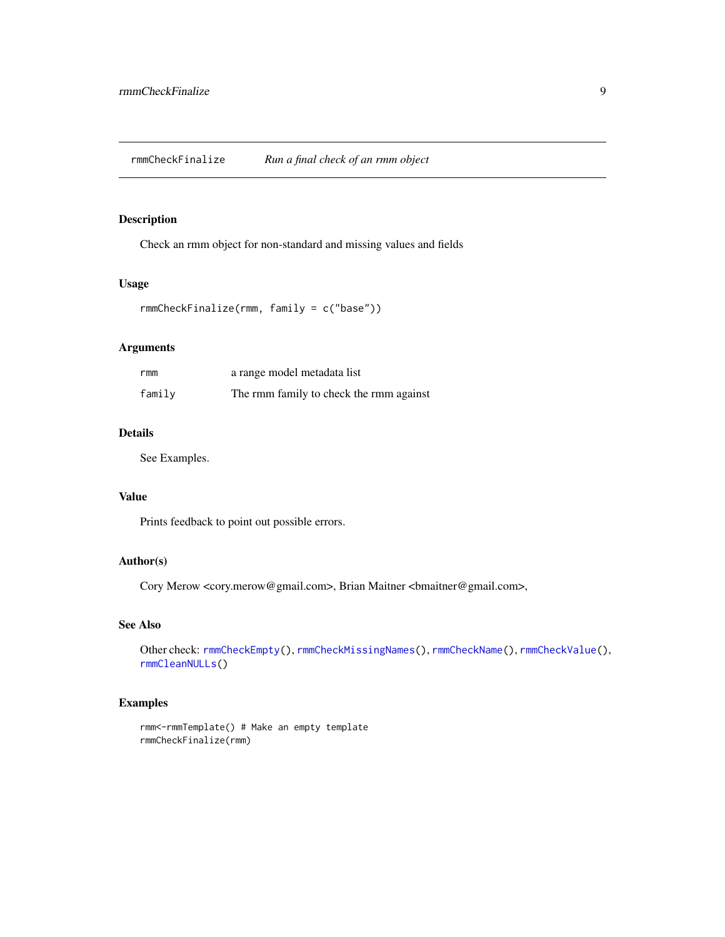<span id="page-8-1"></span><span id="page-8-0"></span>Check an rmm object for non-standard and missing values and fields

#### Usage

```
rmmCheckFinalize(rmm, family = c("base"))
```
#### Arguments

| rmm    | a range model metadata list             |
|--------|-----------------------------------------|
| family | The rmm family to check the rmm against |

#### Details

See Examples.

#### Value

Prints feedback to point out possible errors.

#### Author(s)

Cory Merow <cory.merow@gmail.com>, Brian Maitner <br/>bmaitner@gmail.com>,

#### See Also

```
Other check: rmmCheckEmpty(), rmmCheckMissingNames(), rmmCheckName(), rmmCheckValue(),
rmmCleanNULLs()
```

```
rmm<-rmmTemplate() # Make an empty template
rmmCheckFinalize(rmm)
```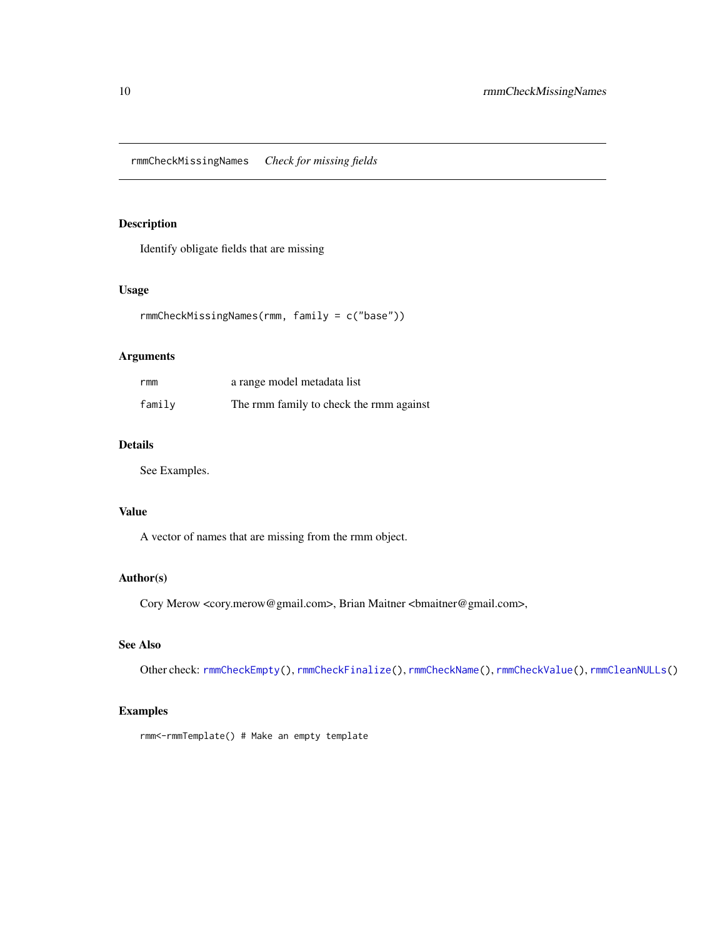<span id="page-9-1"></span><span id="page-9-0"></span>rmmCheckMissingNames *Check for missing fields*

#### Description

Identify obligate fields that are missing

#### Usage

```
rmmCheckMissingNames(rmm, family = c("base"))
```
#### Arguments

| rmm    | a range model metadata list             |
|--------|-----------------------------------------|
| family | The rmm family to check the rmm against |

#### Details

See Examples.

#### Value

A vector of names that are missing from the rmm object.

#### Author(s)

Cory Merow <cory.merow@gmail.com>, Brian Maitner <bmaitner@gmail.com>,

#### See Also

Other check: [rmmCheckEmpty\(](#page-7-1)), [rmmCheckFinalize\(](#page-8-1)), [rmmCheckName\(](#page-10-1)), [rmmCheckValue\(](#page-12-1)), [rmmCleanNULLs\(](#page-13-1))

#### Examples

rmm<-rmmTemplate() # Make an empty template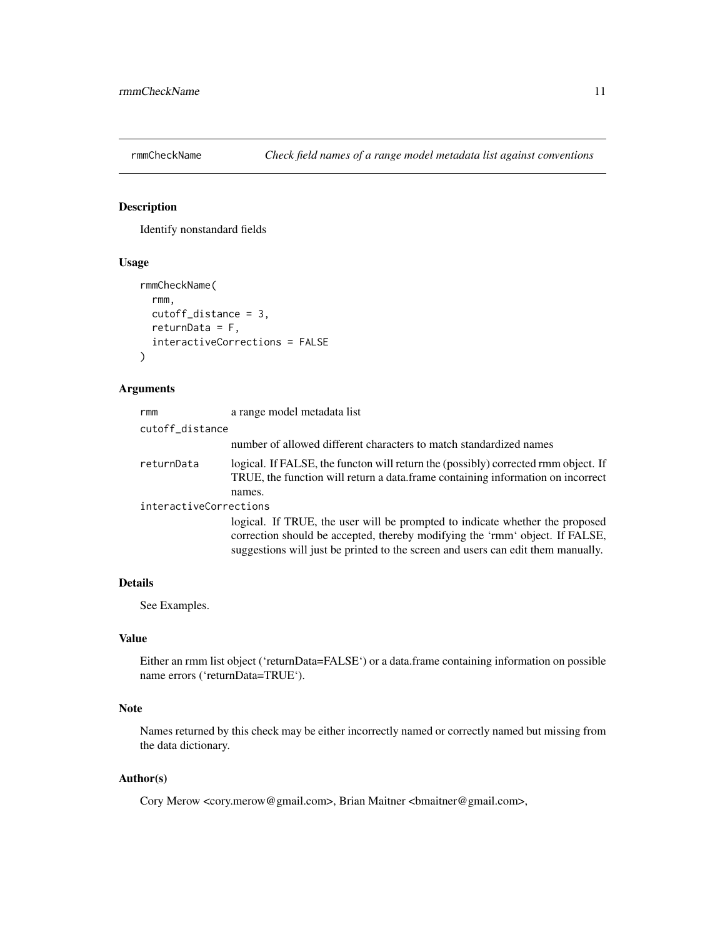<span id="page-10-1"></span><span id="page-10-0"></span>

Identify nonstandard fields

#### Usage

```
rmmCheckName(
  rmm,
 cutoff_distance = 3,
 returnData = F,
  interactiveCorrections = FALSE
)
```
#### Arguments

| rmm                    | a range model metadata list                                                                                                                                                                                                                      |
|------------------------|--------------------------------------------------------------------------------------------------------------------------------------------------------------------------------------------------------------------------------------------------|
| cutoff_distance        |                                                                                                                                                                                                                                                  |
|                        | number of allowed different characters to match standardized names                                                                                                                                                                               |
| returnData             | logical. If FALSE, the functon will return the (possibly) corrected rmm object. If<br>TRUE, the function will return a data.frame containing information on incorrect<br>names.                                                                  |
| interactiveCorrections |                                                                                                                                                                                                                                                  |
|                        | logical. If TRUE, the user will be prompted to indicate whether the proposed<br>correction should be accepted, thereby modifying the 'rmm' object. If FALSE,<br>suggestions will just be printed to the screen and users can edit them manually. |

#### Details

See Examples.

#### Value

Either an rmm list object ('returnData=FALSE') or a data.frame containing information on possible name errors ('returnData=TRUE').

#### Note

Names returned by this check may be either incorrectly named or correctly named but missing from the data dictionary.

#### Author(s)

Cory Merow <cory.merow@gmail.com>, Brian Maitner <br/> <br/>bmaitner@gmail.com>,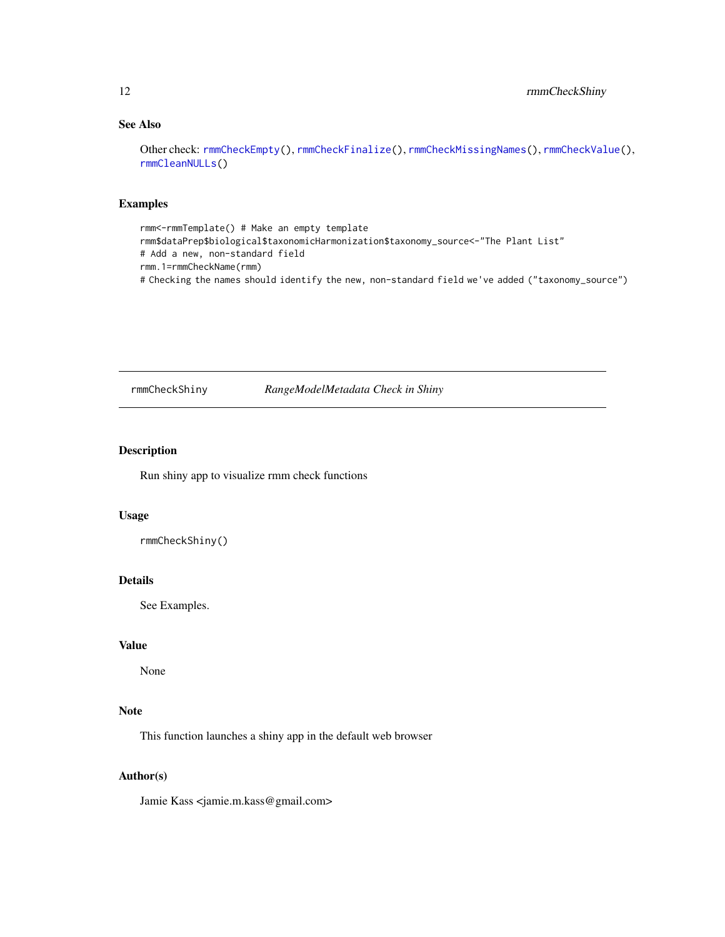#### <span id="page-11-0"></span>See Also

Other check: [rmmCheckEmpty\(](#page-7-1)), [rmmCheckFinalize\(](#page-8-1)), [rmmCheckMissingNames\(](#page-9-1)), [rmmCheckValue\(](#page-12-1)), [rmmCleanNULLs\(](#page-13-1))

#### Examples

rmm<-rmmTemplate() # Make an empty template rmm\$dataPrep\$biological\$taxonomicHarmonization\$taxonomy\_source<-"The Plant List" # Add a new, non-standard field rmm.1=rmmCheckName(rmm) # Checking the names should identify the new, non-standard field we've added ("taxonomy\_source")

rmmCheckShiny *RangeModelMetadata Check in Shiny*

#### Description

Run shiny app to visualize rmm check functions

#### Usage

```
rmmCheckShiny()
```
#### Details

See Examples.

#### Value

None

#### Note

This function launches a shiny app in the default web browser

#### Author(s)

Jamie Kass <jamie.m.kass@gmail.com>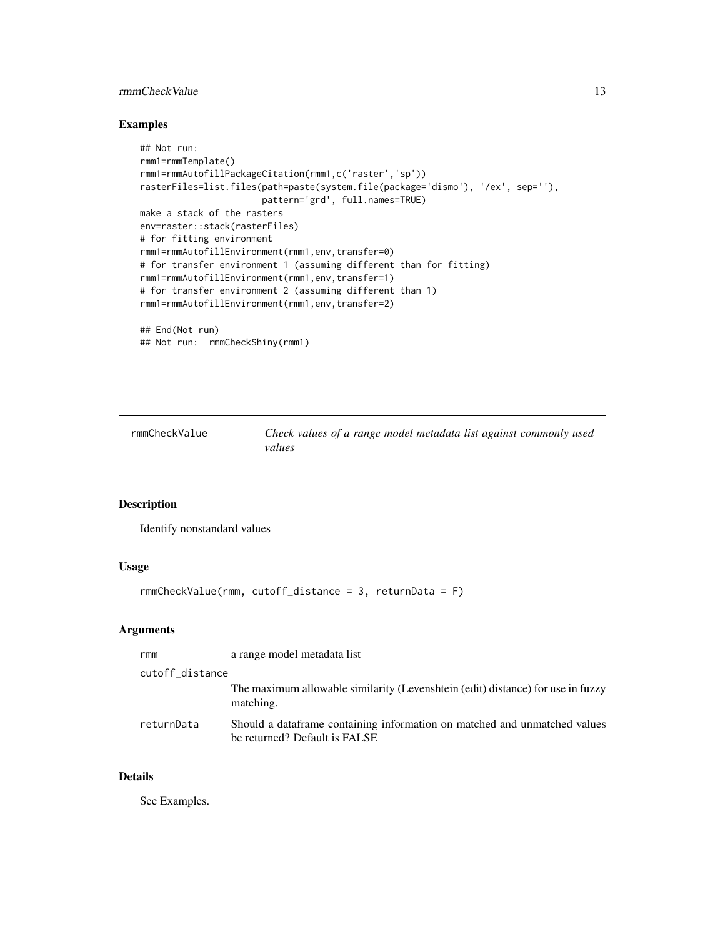#### <span id="page-12-0"></span>rmmCheckValue 13

#### Examples

```
## Not run:
rmm1=rmmTemplate()
rmm1=rmmAutofillPackageCitation(rmm1,c('raster','sp'))
rasterFiles=list.files(path=paste(system.file(package='dismo'), '/ex', sep=''),
                       pattern='grd', full.names=TRUE)
make a stack of the rasters
env=raster::stack(rasterFiles)
# for fitting environment
rmm1=rmmAutofillEnvironment(rmm1,env,transfer=0)
# for transfer environment 1 (assuming different than for fitting)
rmm1=rmmAutofillEnvironment(rmm1,env,transfer=1)
# for transfer environment 2 (assuming different than 1)
rmm1=rmmAutofillEnvironment(rmm1,env,transfer=2)
## End(Not run)
```

```
## Not run: rmmCheckShiny(rmm1)
```
<span id="page-12-1"></span>rmmCheckValue *Check values of a range model metadata list against commonly used values*

#### Description

Identify nonstandard values

#### Usage

```
rmmCheckValue(rmm, cutoff_distance = 3, returnData = F)
```
#### Arguments

| rmm             | a range model metadata list                                                                                |
|-----------------|------------------------------------------------------------------------------------------------------------|
| cutoff_distance |                                                                                                            |
|                 | The maximum allowable similarity (Levenshtein (edit) distance) for use in fuzzy<br>matching.               |
| returnData      | Should a dataframe containing information on matched and unmatched values<br>be returned? Default is FALSE |

#### Details

See Examples.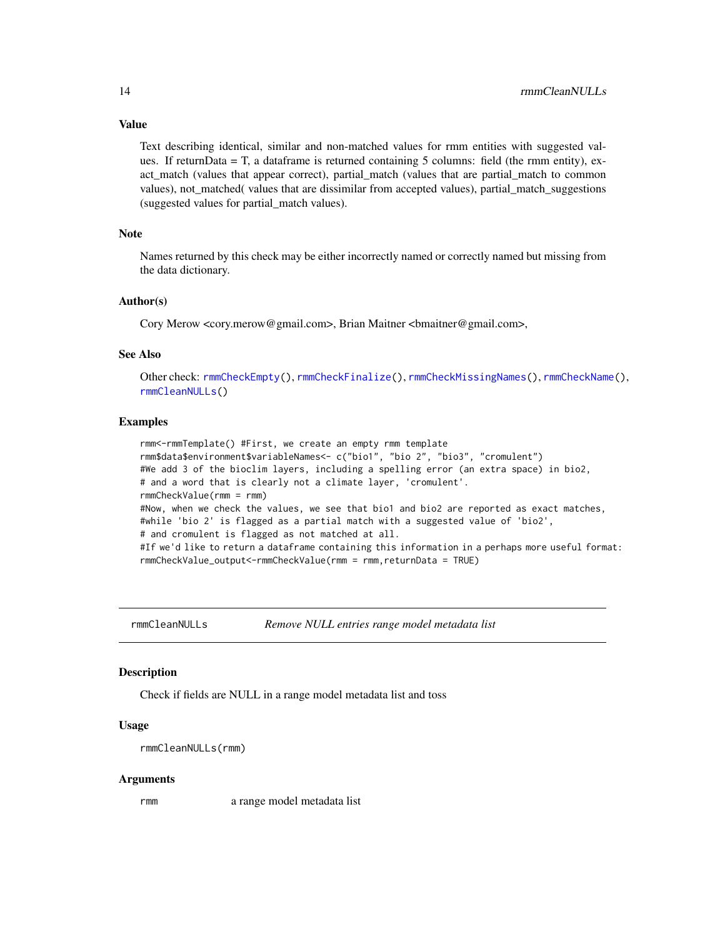#### <span id="page-13-0"></span>Value

Text describing identical, similar and non-matched values for rmm entities with suggested values. If returnData = T, a dataframe is returned containing 5 columns: field (the rmm entity), exact match (values that appear correct), partial match (values that are partial match to common values), not\_matched( values that are dissimilar from accepted values), partial\_match\_suggestions (suggested values for partial\_match values).

#### Note

Names returned by this check may be either incorrectly named or correctly named but missing from the data dictionary.

#### Author(s)

Cory Merow <cory.merow@gmail.com>, Brian Maitner <br/> <br/>bmaitner@gmail.com>,

#### See Also

Other check: [rmmCheckEmpty\(](#page-7-1)), [rmmCheckFinalize\(](#page-8-1)), [rmmCheckMissingNames\(](#page-9-1)), [rmmCheckName\(](#page-10-1)), [rmmCleanNULLs\(](#page-13-1))

#### **Examples**

```
rmm<-rmmTemplate() #First, we create an empty rmm template
rmm$data$environment$variableNames<- c("bio1", "bio 2", "bio3", "cromulent")
#We add 3 of the bioclim layers, including a spelling error (an extra space) in bio2,
# and a word that is clearly not a climate layer, 'cromulent'.
rmmCheckValue(rmm = rmm)
#Now, when we check the values, we see that bio1 and bio2 are reported as exact matches,
#while 'bio 2' is flagged as a partial match with a suggested value of 'bio2',
# and cromulent is flagged as not matched at all.
#If we'd like to return a dataframe containing this information in a perhaps more useful format:
rmmCheckValue_output<-rmmCheckValue(rmm = rmm,returnData = TRUE)
```
<span id="page-13-1"></span>rmmCleanNULLs *Remove NULL entries range model metadata list*

#### **Description**

Check if fields are NULL in a range model metadata list and toss

#### Usage

rmmCleanNULLs(rmm)

#### Arguments

rmm a range model metadata list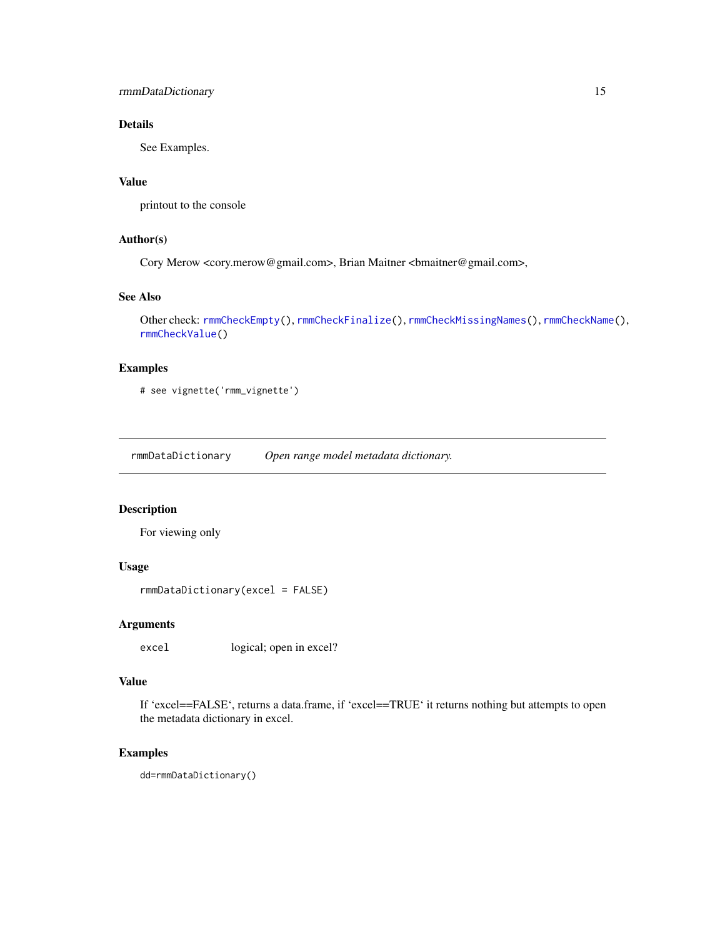<span id="page-14-0"></span>rmmDataDictionary 15

#### Details

See Examples.

#### Value

printout to the console

#### Author(s)

Cory Merow <cory.merow@gmail.com>, Brian Maitner <br/> <br/>bmaitner@gmail.com>,

#### See Also

```
Other check: rmmCheckEmpty(), rmmCheckFinalize(), rmmCheckMissingNames(), rmmCheckName(),
rmmCheckValue()
```
#### Examples

# see vignette('rmm\_vignette')

rmmDataDictionary *Open range model metadata dictionary.*

#### Description

For viewing only

#### Usage

rmmDataDictionary(excel = FALSE)

#### Arguments

excel logical; open in excel?

#### Value

If 'excel==FALSE', returns a data.frame, if 'excel==TRUE' it returns nothing but attempts to open the metadata dictionary in excel.

#### Examples

dd=rmmDataDictionary()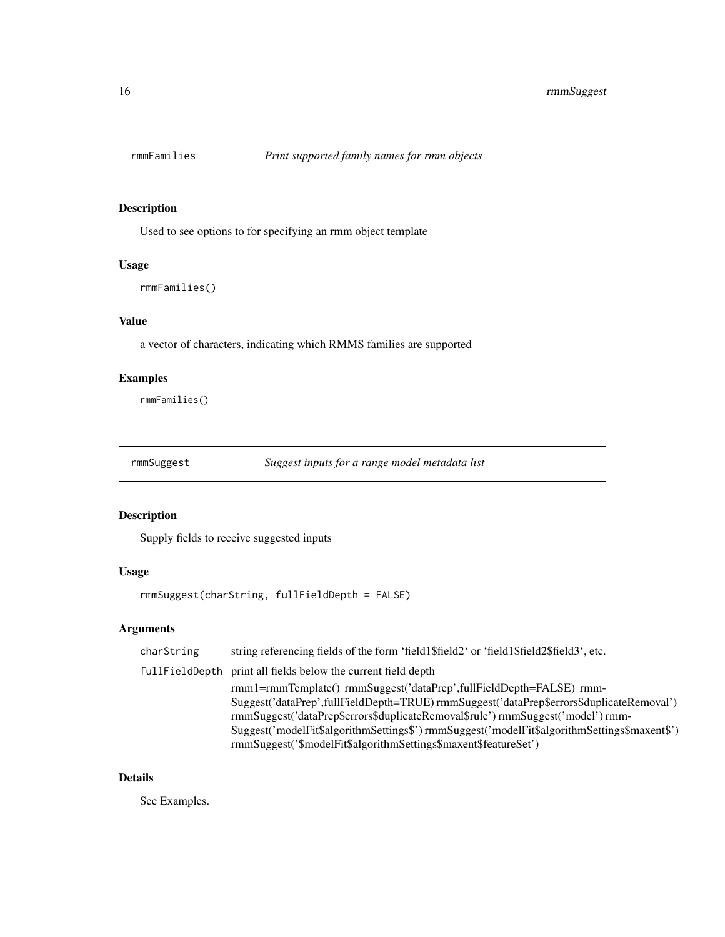<span id="page-15-0"></span>

Used to see options to for specifying an rmm object template

#### Usage

```
rmmFamilies()
```
#### Value

a vector of characters, indicating which RMMS families are supported

#### Examples

rmmFamilies()

rmmSuggest *Suggest inputs for a range model metadata list*

#### Description

Supply fields to receive suggested inputs

#### Usage

rmmSuggest(charString, fullFieldDepth = FALSE)

#### Arguments

| charString | string referencing fields of the form 'field1\$field2' or 'field1\$field2\$field3', etc.    |
|------------|---------------------------------------------------------------------------------------------|
|            | fullFieldDepth print all fields below the current field depth                               |
|            | rmm1=rmmTemplate() rmmSuggest('dataPrep',fullFieldDepth=FALSE) rmm-                         |
|            | Suggest('dataPrep',fullFieldDepth=TRUE) rmmSuggest('dataPrep\$errors\$duplicateRemoval')    |
|            | rmmSuggest('dataPrep\$errors\$duplicateRemoval\$rule') rmmSuggest('model') rmm-             |
|            | Suggest('modelFit\$algorithmSettings\$')rmmSuggest('modelFit\$algorithmSettings\$maxent\$') |
|            | rmmSuggest('\$modelFit\$algorithmSettings\$maxent\$featureSet')                             |

#### Details

See Examples.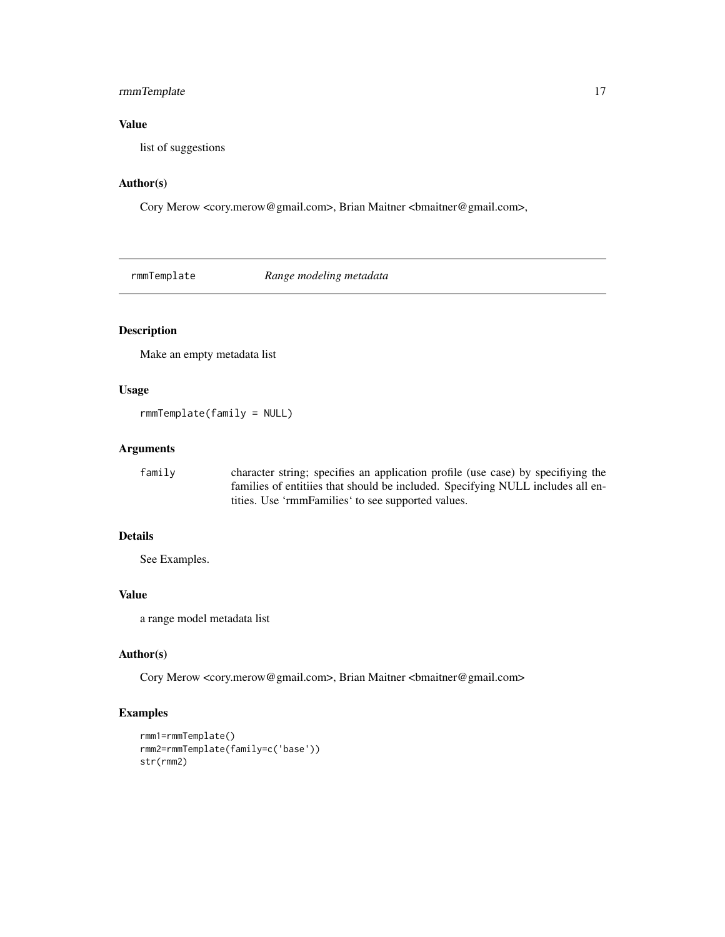#### <span id="page-16-0"></span>rmmTemplate 17

#### Value

list of suggestions

#### Author(s)

Cory Merow <cory.merow@gmail.com>, Brian Maitner <br/> <br/>bmaitner@gmail.com>,

rmmTemplate *Range modeling metadata*

#### Description

Make an empty metadata list

#### Usage

rmmTemplate(family = NULL)

#### Arguments

| family | character string; specifies an application profile (use case) by specifiying the |
|--------|----------------------------------------------------------------------------------|
|        | families of entitiies that should be included. Specifying NULL includes all en-  |
|        | tities. Use 'rmmFamilies' to see supported values.                               |

#### Details

See Examples.

#### Value

a range model metadata list

#### Author(s)

Cory Merow <cory.merow@gmail.com>, Brian Maitner <br/> <br/>bmaitner@gmail.com>

```
rmm1=rmmTemplate()
rmm2=rmmTemplate(family=c('base'))
str(rmm2)
```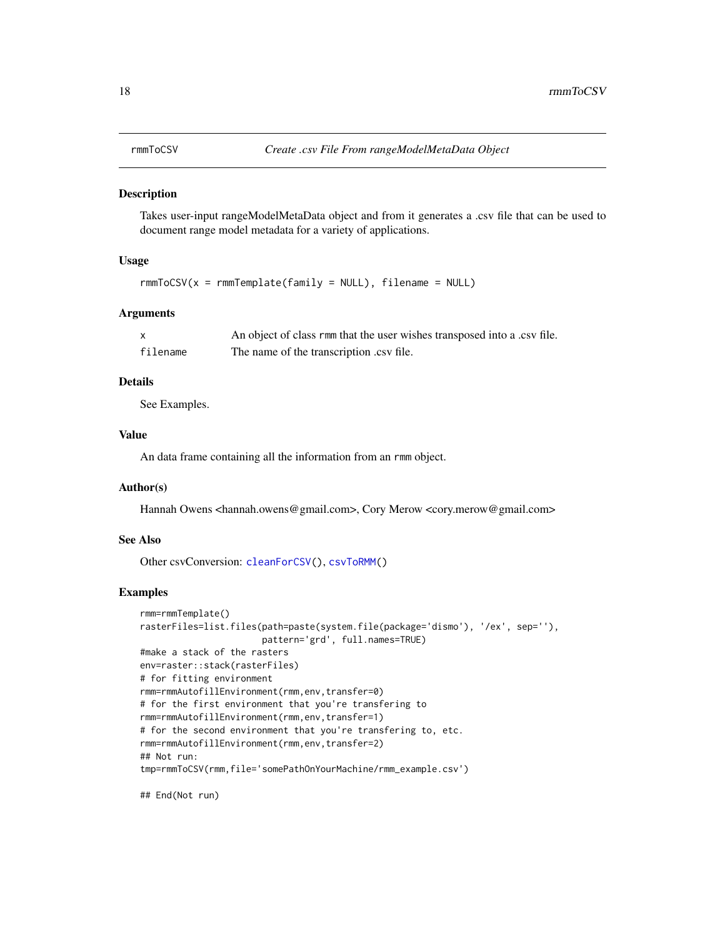<span id="page-17-1"></span><span id="page-17-0"></span>

Takes user-input rangeModelMetaData object and from it generates a .csv file that can be used to document range model metadata for a variety of applications.

#### Usage

```
rmmToCSV(x = rmmTemplate(family = NULL), filename = NULL)
```
#### Arguments

| X        | An object of class rmm that the user wishes transposed into a .csv file. |
|----------|--------------------------------------------------------------------------|
| filename | The name of the transcription .csv file.                                 |

#### Details

See Examples.

#### Value

An data frame containing all the information from an rmm object.

#### Author(s)

Hannah Owens <hannah.owens@gmail.com>, Cory Merow <cory.merow@gmail.com>

#### See Also

Other csvConversion: [cleanForCSV\(](#page-1-1)), [csvToRMM\(](#page-2-1))

#### Examples

```
rmm=rmmTemplate()
rasterFiles=list.files(path=paste(system.file(package='dismo'), '/ex', sep=''),
                      pattern='grd', full.names=TRUE)
#make a stack of the rasters
env=raster::stack(rasterFiles)
# for fitting environment
rmm=rmmAutofillEnvironment(rmm,env,transfer=0)
# for the first environment that you're transfering to
rmm=rmmAutofillEnvironment(rmm,env,transfer=1)
# for the second environment that you're transfering to, etc.
rmm=rmmAutofillEnvironment(rmm,env,transfer=2)
## Not run:
tmp=rmmToCSV(rmm,file='somePathOnYourMachine/rmm_example.csv')
```
## End(Not run)